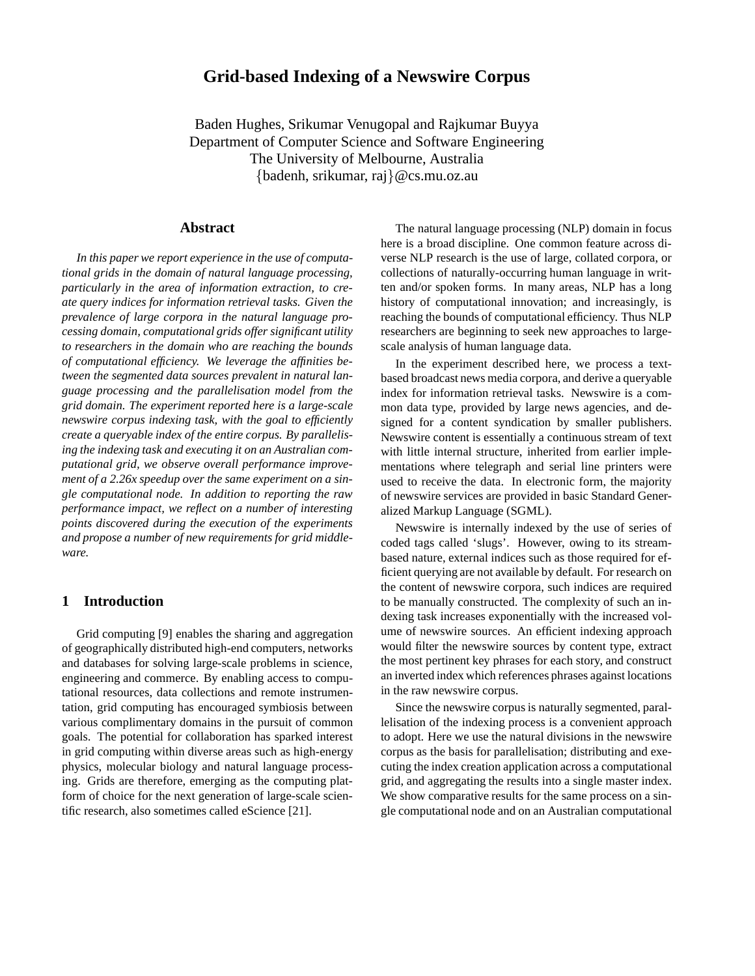# **Grid-based Indexing of a Newswire Corpus**

Baden Hughes, Srikumar Venugopal and Rajkumar Buyya Department of Computer Science and Software Engineering The University of Melbourne, Australia {badenh, srikumar, raj}@cs.mu.oz.au

### **Abstract**

*In this paper we report experience in the use of computational grids in the domain of natural language processing, particularly in the area of information extraction, to create query indices for information retrieval tasks. Given the prevalence of large corpora in the natural language processing domain, computational grids offer significant utility to researchers in the domain who are reaching the bounds of computational efficiency. We leverage the affinities between the segmented data sources prevalent in natural language processing and the parallelisation model from the grid domain. The experiment reported here is a large-scale newswire corpus indexing task, with the goal to efficiently create a queryable index of the entire corpus. By parallelising the indexing task and executing it on an Australian computational grid, we observe overall performance improvement of a 2.26x speedup over the same experiment on a single computational node. In addition to reporting the raw performance impact, we reflect on a number of interesting points discovered during the execution of the experiments and propose a number of new requirements for grid middleware.*

## **1 Introduction**

Grid computing [9] enables the sharing and aggregation of geographically distributed high-end computers, networks and databases for solving large-scale problems in science, engineering and commerce. By enabling access to computational resources, data collections and remote instrumentation, grid computing has encouraged symbiosis between various complimentary domains in the pursuit of common goals. The potential for collaboration has sparked interest in grid computing within diverse areas such as high-energy physics, molecular biology and natural language processing. Grids are therefore, emerging as the computing platform of choice for the next generation of large-scale scientific research, also sometimes called eScience [21].

The natural language processing (NLP) domain in focus here is a broad discipline. One common feature across diverse NLP research is the use of large, collated corpora, or collections of naturally-occurring human language in written and/or spoken forms. In many areas, NLP has a long history of computational innovation; and increasingly, is reaching the bounds of computational efficiency. Thus NLP researchers are beginning to seek new approaches to largescale analysis of human language data.

In the experiment described here, we process a textbased broadcast news media corpora, and derive a queryable index for information retrieval tasks. Newswire is a common data type, provided by large news agencies, and designed for a content syndication by smaller publishers. Newswire content is essentially a continuous stream of text with little internal structure, inherited from earlier implementations where telegraph and serial line printers were used to receive the data. In electronic form, the majority of newswire services are provided in basic Standard Generalized Markup Language (SGML).

Newswire is internally indexed by the use of series of coded tags called 'slugs'. However, owing to its streambased nature, external indices such as those required for efficient querying are not available by default. For research on the content of newswire corpora, such indices are required to be manually constructed. The complexity of such an indexing task increases exponentially with the increased volume of newswire sources. An efficient indexing approach would filter the newswire sources by content type, extract the most pertinent key phrases for each story, and construct an inverted index which references phrases against locations in the raw newswire corpus.

Since the newswire corpus is naturally segmented, parallelisation of the indexing process is a convenient approach to adopt. Here we use the natural divisions in the newswire corpus as the basis for parallelisation; distributing and executing the index creation application across a computational grid, and aggregating the results into a single master index. We show comparative results for the same process on a single computational node and on an Australian computational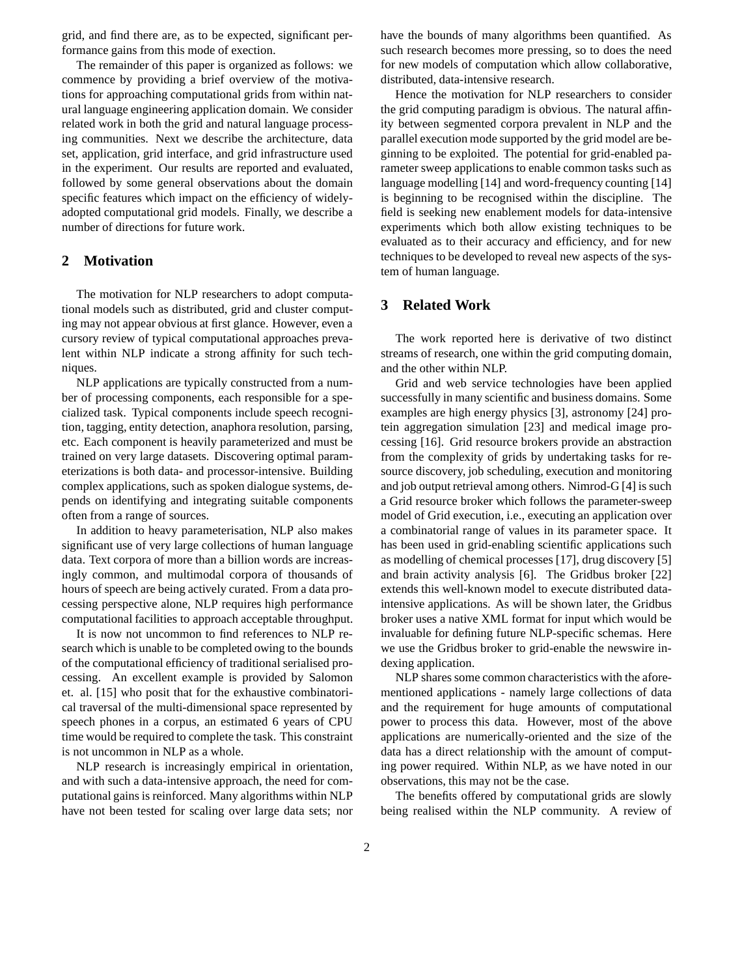grid, and find there are, as to be expected, significant performance gains from this mode of exection.

The remainder of this paper is organized as follows: we commence by providing a brief overview of the motivations for approaching computational grids from within natural language engineering application domain. We consider related work in both the grid and natural language processing communities. Next we describe the architecture, data set, application, grid interface, and grid infrastructure used in the experiment. Our results are reported and evaluated, followed by some general observations about the domain specific features which impact on the efficiency of widelyadopted computational grid models. Finally, we describe a number of directions for future work.

## **2 Motivation**

The motivation for NLP researchers to adopt computational models such as distributed, grid and cluster computing may not appear obvious at first glance. However, even a cursory review of typical computational approaches prevalent within NLP indicate a strong affinity for such techniques.

NLP applications are typically constructed from a number of processing components, each responsible for a specialized task. Typical components include speech recognition, tagging, entity detection, anaphora resolution, parsing, etc. Each component is heavily parameterized and must be trained on very large datasets. Discovering optimal parameterizations is both data- and processor-intensive. Building complex applications, such as spoken dialogue systems, depends on identifying and integrating suitable components often from a range of sources.

In addition to heavy parameterisation, NLP also makes significant use of very large collections of human language data. Text corpora of more than a billion words are increasingly common, and multimodal corpora of thousands of hours of speech are being actively curated. From a data processing perspective alone, NLP requires high performance computational facilities to approach acceptable throughput.

It is now not uncommon to find references to NLP research which is unable to be completed owing to the bounds of the computational efficiency of traditional serialised processing. An excellent example is provided by Salomon et. al. [15] who posit that for the exhaustive combinatorical traversal of the multi-dimensional space represented by speech phones in a corpus, an estimated 6 years of CPU time would be required to complete the task. This constraint is not uncommon in NLP as a whole.

NLP research is increasingly empirical in orientation, and with such a data-intensive approach, the need for computational gains is reinforced. Many algorithms within NLP have not been tested for scaling over large data sets; nor have the bounds of many algorithms been quantified. As such research becomes more pressing, so to does the need for new models of computation which allow collaborative, distributed, data-intensive research.

Hence the motivation for NLP researchers to consider the grid computing paradigm is obvious. The natural affinity between segmented corpora prevalent in NLP and the parallel execution mode supported by the grid model are beginning to be exploited. The potential for grid-enabled parameter sweep applications to enable common tasks such as language modelling [14] and word-frequency counting [14] is beginning to be recognised within the discipline. The field is seeking new enablement models for data-intensive experiments which both allow existing techniques to be evaluated as to their accuracy and efficiency, and for new techniques to be developed to reveal new aspects of the system of human language.

### **3 Related Work**

The work reported here is derivative of two distinct streams of research, one within the grid computing domain, and the other within NLP.

Grid and web service technologies have been applied successfully in many scientific and business domains. Some examples are high energy physics [3], astronomy [24] protein aggregation simulation [23] and medical image processing [16]. Grid resource brokers provide an abstraction from the complexity of grids by undertaking tasks for resource discovery, job scheduling, execution and monitoring and job output retrieval among others. Nimrod-G [4] is such a Grid resource broker which follows the parameter-sweep model of Grid execution, i.e., executing an application over a combinatorial range of values in its parameter space. It has been used in grid-enabling scientific applications such as modelling of chemical processes [17], drug discovery [5] and brain activity analysis [6]. The Gridbus broker [22] extends this well-known model to execute distributed dataintensive applications. As will be shown later, the Gridbus broker uses a native XML format for input which would be invaluable for defining future NLP-specific schemas. Here we use the Gridbus broker to grid-enable the newswire indexing application.

NLP shares some common characteristics with the aforementioned applications - namely large collections of data and the requirement for huge amounts of computational power to process this data. However, most of the above applications are numerically-oriented and the size of the data has a direct relationship with the amount of computing power required. Within NLP, as we have noted in our observations, this may not be the case.

The benefits offered by computational grids are slowly being realised within the NLP community. A review of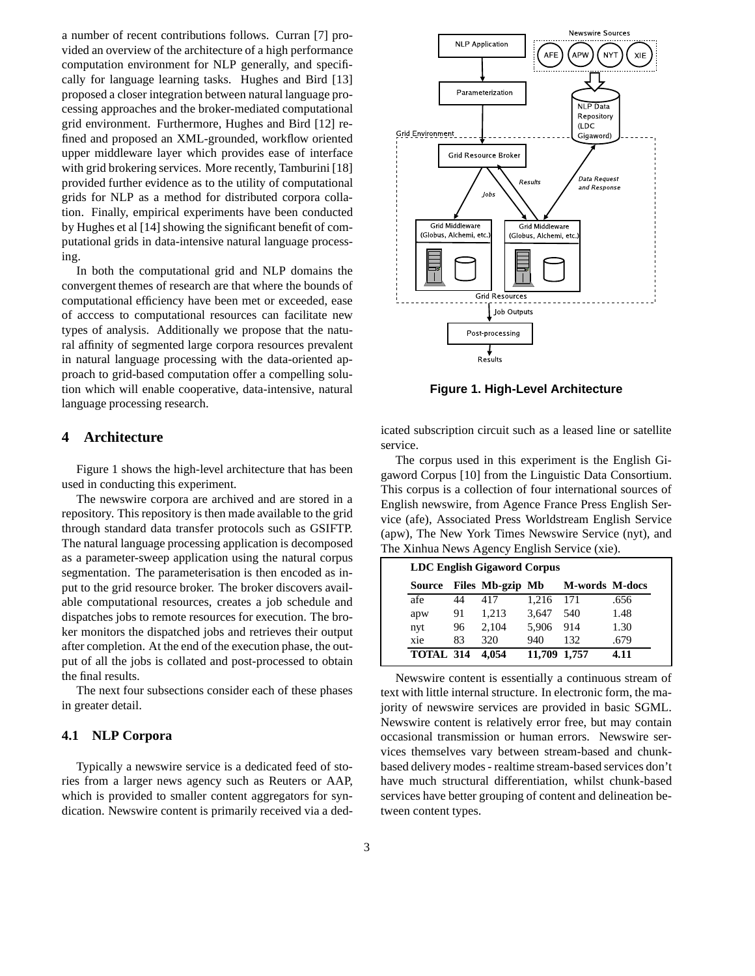a number of recent contributions follows. Curran [7] provided an overview of the architecture of a high performance computation environment for NLP generally, and specifically for language learning tasks. Hughes and Bird [13] proposed a closer integration between natural language processing approaches and the broker-mediated computational grid environment. Furthermore, Hughes and Bird [12] refined and proposed an XML-grounded, workflow oriented upper middleware layer which provides ease of interface with grid brokering services. More recently, Tamburini [18] provided further evidence as to the utility of computational grids for NLP as a method for distributed corpora collation. Finally, empirical experiments have been conducted by Hughes et al [14] showing the significant benefit of computational grids in data-intensive natural language processing.

In both the computational grid and NLP domains the convergent themes of research are that where the bounds of computational efficiency have been met or exceeded, ease of acccess to computational resources can facilitate new types of analysis. Additionally we propose that the natural affinity of segmented large corpora resources prevalent in natural language processing with the data-oriented approach to grid-based computation offer a compelling solution which will enable cooperative, data-intensive, natural language processing research.

## **4 Architecture**

Figure 1 shows the high-level architecture that has been used in conducting this experiment.

The newswire corpora are archived and are stored in a repository. This repository is then made available to the grid through standard data transfer protocols such as GSIFTP. The natural language processing application is decomposed as a parameter-sweep application using the natural corpus segmentation. The parameterisation is then encoded as input to the grid resource broker. The broker discovers available computational resources, creates a job schedule and dispatches jobs to remote resources for execution. The broker monitors the dispatched jobs and retrieves their output after completion. At the end of the execution phase, the output of all the jobs is collated and post-processed to obtain the final results.

The next four subsections consider each of these phases in greater detail.

#### **4.1 NLP Corpora**

Typically a newswire service is a dedicated feed of stories from a larger news agency such as Reuters or AAP, which is provided to smaller content aggregators for syndication. Newswire content is primarily received via a ded-



**Figure 1. High-Level Architecture**

icated subscription circuit such as a leased line or satellite service.

The corpus used in this experiment is the English Gigaword Corpus [10] from the Linguistic Data Consortium. This corpus is a collection of four international sources of English newswire, from Agence France Press English Service (afe), Associated Press Worldstream English Service (apw), The New York Times Newswire Service (nyt), and The Xinhua News Agency English Service (xie).

| LDC English Gigaword Corpus |    |                  |        |                       |      |
|-----------------------------|----|------------------|--------|-----------------------|------|
| Source                      |    | Files Mb-gzip Mb |        | <b>M-words</b> M-docs |      |
| afe                         | 44 | 417              | 1.216  | - 171                 | .656 |
| apw                         | 91 | 1.213            | 3,647  | 540                   | 1.48 |
| nyt                         | 96 | 2,104            | 5.906  | 914                   | 1.30 |
| xie                         | 83 | 320              | 940    | 132                   | .679 |
| TOTAL 314                   |    | 4.054            | 11.709 | 1,757                 | 4.11 |

Newswire content is essentially a continuous stream of text with little internal structure. In electronic form, the majority of newswire services are provided in basic SGML. Newswire content is relatively error free, but may contain occasional transmission or human errors. Newswire services themselves vary between stream-based and chunkbased delivery modes- realtime stream-based services don't have much structural differentiation, whilst chunk-based services have better grouping of content and delineation between content types.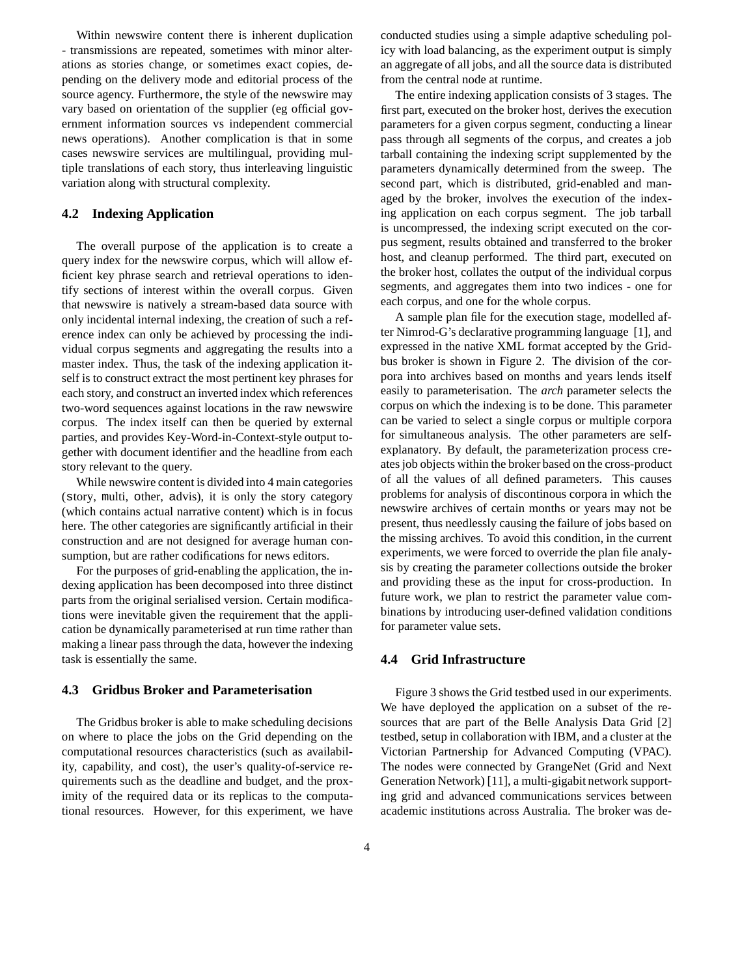Within newswire content there is inherent duplication - transmissions are repeated, sometimes with minor alterations as stories change, or sometimes exact copies, depending on the delivery mode and editorial process of the source agency. Furthermore, the style of the newswire may vary based on orientation of the supplier (eg official government information sources vs independent commercial news operations). Another complication is that in some cases newswire services are multilingual, providing multiple translations of each story, thus interleaving linguistic variation along with structural complexity.

#### **4.2 Indexing Application**

The overall purpose of the application is to create a query index for the newswire corpus, which will allow efficient key phrase search and retrieval operations to identify sections of interest within the overall corpus. Given that newswire is natively a stream-based data source with only incidental internal indexing, the creation of such a reference index can only be achieved by processing the individual corpus segments and aggregating the results into a master index. Thus, the task of the indexing application itself is to construct extract the most pertinent key phrases for each story, and construct an inverted index which references two-word sequences against locations in the raw newswire corpus. The index itself can then be queried by external parties, and provides Key-Word-in-Context-style output together with document identifier and the headline from each story relevant to the query.

While newswire content is divided into 4 main categories (story, multi, other, advis), it is only the story category (which contains actual narrative content) which is in focus here. The other categories are significantly artificial in their construction and are not designed for average human consumption, but are rather codifications for news editors.

For the purposes of grid-enabling the application, the indexing application has been decomposed into three distinct parts from the original serialised version. Certain modifications were inevitable given the requirement that the application be dynamically parameterised at run time rather than making a linear pass through the data, however the indexing task is essentially the same.

#### **4.3 Gridbus Broker and Parameterisation**

The Gridbus broker is able to make scheduling decisions on where to place the jobs on the Grid depending on the computational resources characteristics (such as availability, capability, and cost), the user's quality-of-service requirements such as the deadline and budget, and the proximity of the required data or its replicas to the computational resources. However, for this experiment, we have conducted studies using a simple adaptive scheduling policy with load balancing, as the experiment output is simply an aggregate of all jobs, and all the source data is distributed from the central node at runtime.

The entire indexing application consists of 3 stages. The first part, executed on the broker host, derives the execution parameters for a given corpus segment, conducting a linear pass through all segments of the corpus, and creates a job tarball containing the indexing script supplemented by the parameters dynamically determined from the sweep. The second part, which is distributed, grid-enabled and managed by the broker, involves the execution of the indexing application on each corpus segment. The job tarball is uncompressed, the indexing script executed on the corpus segment, results obtained and transferred to the broker host, and cleanup performed. The third part, executed on the broker host, collates the output of the individual corpus segments, and aggregates them into two indices - one for each corpus, and one for the whole corpus.

A sample plan file for the execution stage, modelled after Nimrod-G's declarative programming language [1], and expressed in the native XML format accepted by the Gridbus broker is shown in Figure 2. The division of the corpora into archives based on months and years lends itself easily to parameterisation. The *arch* parameter selects the corpus on which the indexing is to be done. This parameter can be varied to select a single corpus or multiple corpora for simultaneous analysis. The other parameters are selfexplanatory. By default, the parameterization process creates job objects within the broker based on the cross-product of all the values of all defined parameters. This causes problems for analysis of discontinous corpora in which the newswire archives of certain months or years may not be present, thus needlessly causing the failure of jobs based on the missing archives. To avoid this condition, in the current experiments, we were forced to override the plan file analysis by creating the parameter collections outside the broker and providing these as the input for cross-production. In future work, we plan to restrict the parameter value combinations by introducing user-defined validation conditions for parameter value sets.

#### **4.4 Grid Infrastructure**

Figure 3 shows the Grid testbed used in our experiments. We have deployed the application on a subset of the resources that are part of the Belle Analysis Data Grid [2] testbed, setup in collaboration with IBM, and a cluster at the Victorian Partnership for Advanced Computing (VPAC). The nodes were connected by GrangeNet (Grid and Next Generation Network) [11], a multi-gigabit network supporting grid and advanced communications services between academic institutions across Australia. The broker was de-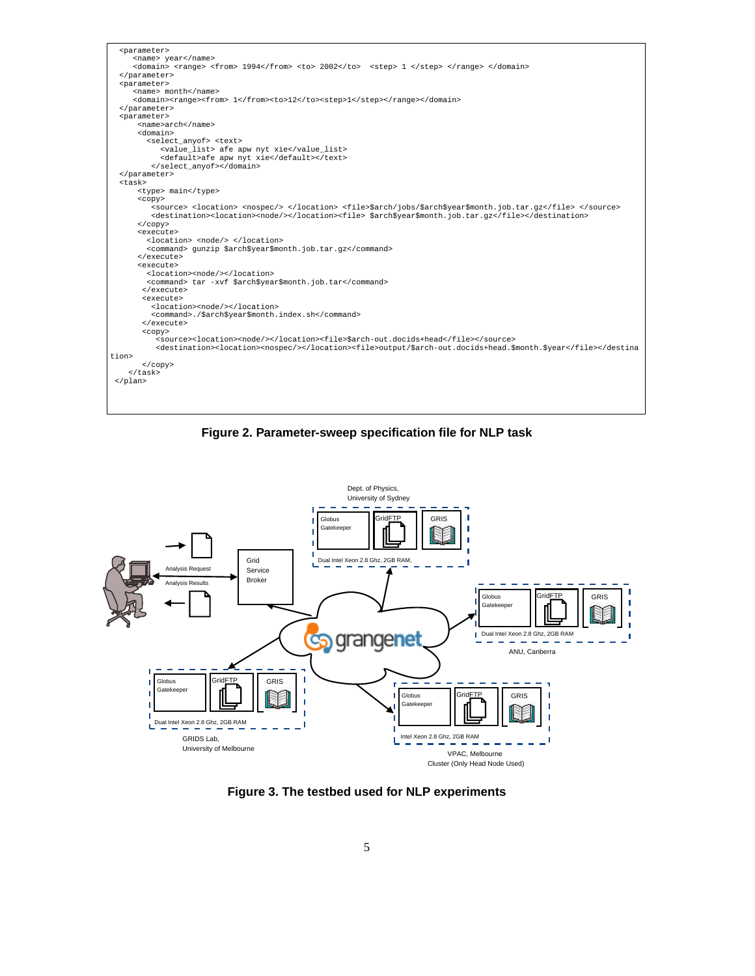

**Figure 2. Parameter-sweep specification file for NLP task**



**Figure 3. The testbed used for NLP experiments**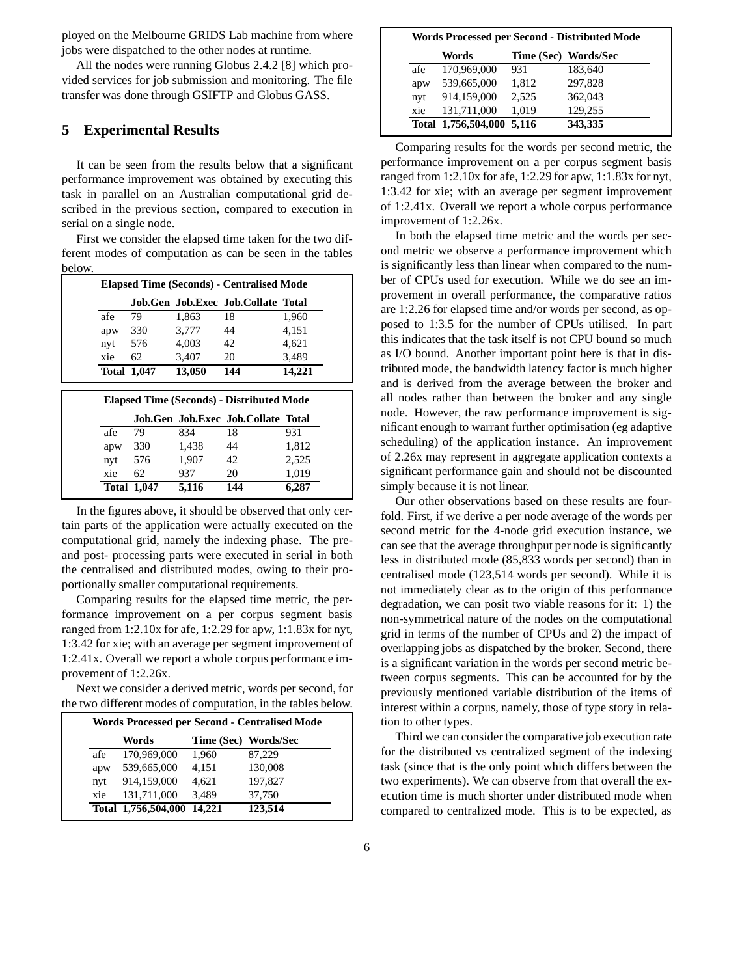ployed on the Melbourne GRIDS Lab machine from where jobs were dispatched to the other nodes at runtime.

All the nodes were running Globus 2.4.2 [8] which provided services for job submission and monitoring. The file transfer was done through GSIFTP and Globus GASS.

## **5 Experimental Results**

It can be seen from the results below that a significant performance improvement was obtained by executing this task in parallel on an Australian computational grid described in the previous section, compared to execution in serial on a single node.

First we consider the elapsed time taken for the two different modes of computation as can be seen in the tables below.

|                    | <b>Elapsed Time (Seconds) - Centralised Mode</b> |        |                                                                                        |                |  |  |
|--------------------|--------------------------------------------------|--------|----------------------------------------------------------------------------------------|----------------|--|--|
|                    |                                                  |        | Job.Gen Job.Exec Job.Collate Total                                                     |                |  |  |
| afe                | 79                                               | 1,863  | 18                                                                                     | 1,960          |  |  |
| apw                | 330                                              | 3,777  | 44                                                                                     | 4,151          |  |  |
| nyt                | 576                                              | 4,003  | 42                                                                                     | 4,621          |  |  |
| xie                | 62                                               | 3,407  | 20                                                                                     | 3,489          |  |  |
| <b>Total 1,047</b> |                                                  | 13,050 | 144                                                                                    | 14,221         |  |  |
|                    |                                                  |        |                                                                                        |                |  |  |
|                    |                                                  |        | <b>Elapsed Time (Seconds) - Distributed Mode</b><br>Job.Gen Job.Exec Job.Collate Total |                |  |  |
| afe                | 79                                               | 834    | 18                                                                                     | 931            |  |  |
| apw                | 330                                              | 1,438  | 44                                                                                     |                |  |  |
| nyt                | 576                                              | 1,907  | 42                                                                                     | 1,812<br>2,525 |  |  |
| xie                | 62                                               | 937    | 20                                                                                     | 1,019          |  |  |

In the figures above, it should be observed that only certain parts of the application were actually executed on the computational grid, namely the indexing phase. The preand post- processing parts were executed in serial in both the centralised and distributed modes, owing to their proportionally smaller computational requirements.

Comparing results for the elapsed time metric, the performance improvement on a per corpus segment basis ranged from 1:2.10x for afe, 1:2.29 for apw, 1:1.83x for nyt, 1:3.42 for xie; with an average per segment improvement of 1:2.41x. Overall we report a whole corpus performance improvement of 1:2.26x.

Next we consider a derived metric, words per second, for the two different modes of computation, in the tables below.

|     | Words               |        | Time (Sec) Words/Sec |
|-----|---------------------|--------|----------------------|
| afe | 170,969,000         | 1,960  | 87.229               |
| apw | 539,665,000         | 4,151  | 130,008              |
| nyt | 914,159,000         | 4,621  | 197,827              |
| xie | 131,711,000         | 3,489  | 37,750               |
|     | Total 1,756,504,000 | 14.221 | 123,514              |

| Words Processed per Second - Distributed Mode |                           |       |                      |  |
|-----------------------------------------------|---------------------------|-------|----------------------|--|
|                                               | Words                     |       | Time (Sec) Words/Sec |  |
| afe                                           | 170,969,000               | 931   | 183,640              |  |
| apw                                           | 539,665,000               | 1,812 | 297,828              |  |
| nyt                                           | 914,159,000               | 2,525 | 362,043              |  |
| xie                                           | 131,711,000               | 1,019 | 129,255              |  |
|                                               | Total 1,756,504,000 5,116 |       | 343,335              |  |

Comparing results for the words per second metric, the performance improvement on a per corpus segment basis ranged from 1:2.10x for afe, 1:2.29 for apw, 1:1.83x for nyt, 1:3.42 for xie; with an average per segment improvement of 1:2.41x. Overall we report a whole corpus performance improvement of 1:2.26x.

In both the elapsed time metric and the words per second metric we observe a performance improvement which is significantly less than linear when compared to the number of CPUs used for execution. While we do see an improvement in overall performance, the comparative ratios are 1:2.26 for elapsed time and/or words per second, as opposed to 1:3.5 for the number of CPUs utilised. In part this indicates that the task itself is not CPU bound so much as I/O bound. Another important point here is that in distributed mode, the bandwidth latency factor is much higher and is derived from the average between the broker and all nodes rather than between the broker and any single node. However, the raw performance improvement is significant enough to warrant further optimisation (eg adaptive scheduling) of the application instance. An improvement of 2.26x may represent in aggregate application contexts a significant performance gain and should not be discounted simply because it is not linear.

Our other observations based on these results are fourfold. First, if we derive a per node average of the words per second metric for the 4-node grid execution instance, we can see that the average throughput per node is significantly less in distributed mode (85,833 words per second) than in centralised mode (123,514 words per second). While it is not immediately clear as to the origin of this performance degradation, we can posit two viable reasons for it: 1) the non-symmetrical nature of the nodes on the computational grid in terms of the number of CPUs and 2) the impact of overlapping jobs as dispatched by the broker. Second, there is a significant variation in the words per second metric between corpus segments. This can be accounted for by the previously mentioned variable distribution of the items of interest within a corpus, namely, those of type story in relation to other types.

Third we can consider the comparative job execution rate for the distributed vs centralized segment of the indexing task (since that is the only point which differs between the two experiments). We can observe from that overall the execution time is much shorter under distributed mode when compared to centralized mode. This is to be expected, as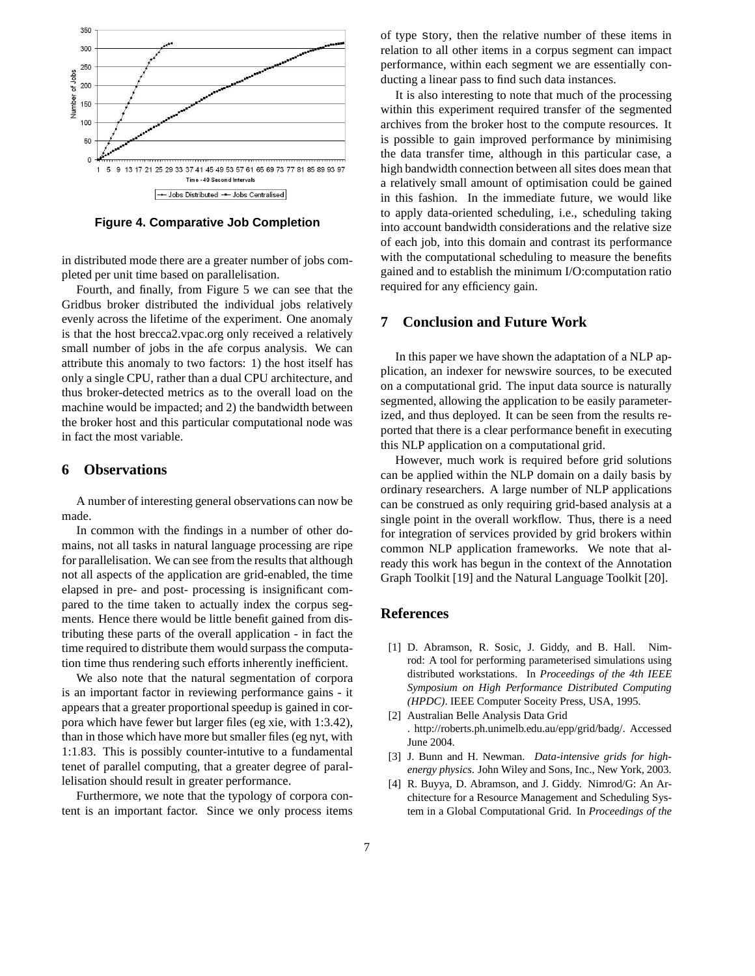

**Figure 4. Comparative Job Completion**

in distributed mode there are a greater number of jobs completed per unit time based on parallelisation.

Fourth, and finally, from Figure 5 we can see that the Gridbus broker distributed the individual jobs relatively evenly across the lifetime of the experiment. One anomaly is that the host brecca2.vpac.org only received a relatively small number of jobs in the afe corpus analysis. We can attribute this anomaly to two factors: 1) the host itself has only a single CPU, rather than a dual CPU architecture, and thus broker-detected metrics as to the overall load on the machine would be impacted; and 2) the bandwidth between the broker host and this particular computational node was in fact the most variable.

#### **6 Observations**

A number of interesting general observations can now be made.

In common with the findings in a number of other domains, not all tasks in natural language processing are ripe for parallelisation. We can see from the results that although not all aspects of the application are grid-enabled, the time elapsed in pre- and post- processing is insignificant compared to the time taken to actually index the corpus segments. Hence there would be little benefit gained from distributing these parts of the overall application - in fact the time required to distribute them would surpass the computation time thus rendering such efforts inherently inefficient.

We also note that the natural segmentation of corpora is an important factor in reviewing performance gains - it appears that a greater proportionalspeedup is gained in corpora which have fewer but larger files (eg xie, with 1:3.42), than in those which have more but smaller files (eg nyt, with 1:1.83. This is possibly counter-intutive to a fundamental tenet of parallel computing, that a greater degree of parallelisation should result in greater performance.

Furthermore, we note that the typology of corpora content is an important factor. Since we only process items of type story, then the relative number of these items in relation to all other items in a corpus segment can impact performance, within each segment we are essentially conducting a linear pass to find such data instances.

It is also interesting to note that much of the processing within this experiment required transfer of the segmented archives from the broker host to the compute resources. It is possible to gain improved performance by minimising the data transfer time, although in this particular case, a high bandwidth connection between all sites does mean that a relatively small amount of optimisation could be gained in this fashion. In the immediate future, we would like to apply data-oriented scheduling, i.e., scheduling taking into account bandwidth considerations and the relative size of each job, into this domain and contrast its performance with the computational scheduling to measure the benefits gained and to establish the minimum I/O:computation ratio required for any efficiency gain.

#### **7 Conclusion and Future Work**

In this paper we have shown the adaptation of a NLP application, an indexer for newswire sources, to be executed on a computational grid. The input data source is naturally segmented, allowing the application to be easily parameterized, and thus deployed. It can be seen from the results reported that there is a clear performance benefit in executing this NLP application on a computational grid.

However, much work is required before grid solutions can be applied within the NLP domain on a daily basis by ordinary researchers. A large number of NLP applications can be construed as only requiring grid-based analysis at a single point in the overall workflow. Thus, there is a need for integration of services provided by grid brokers within common NLP application frameworks. We note that already this work has begun in the context of the Annotation Graph Toolkit [19] and the Natural Language Toolkit [20].

#### **References**

- [1] D. Abramson, R. Sosic, J. Giddy, and B. Hall. Nimrod: A tool for performing parameterised simulations using distributed workstations. In *Proceedings of the 4th IEEE Symposium on High Performance Distributed Computing (HPDC)*. IEEE Computer Soceity Press, USA, 1995.
- [2] Australian Belle Analysis Data Grid . http://roberts.ph.unimelb.edu.au/epp/grid/badg/. Accessed June 2004.
- [3] J. Bunn and H. Newman. *Data-intensive grids for highenergy physics*. John Wiley and Sons, Inc., New York, 2003.
- [4] R. Buyya, D. Abramson, and J. Giddy. Nimrod/G: An Architecture for a Resource Management and Scheduling System in a Global Computational Grid. In *Proceedings of the*